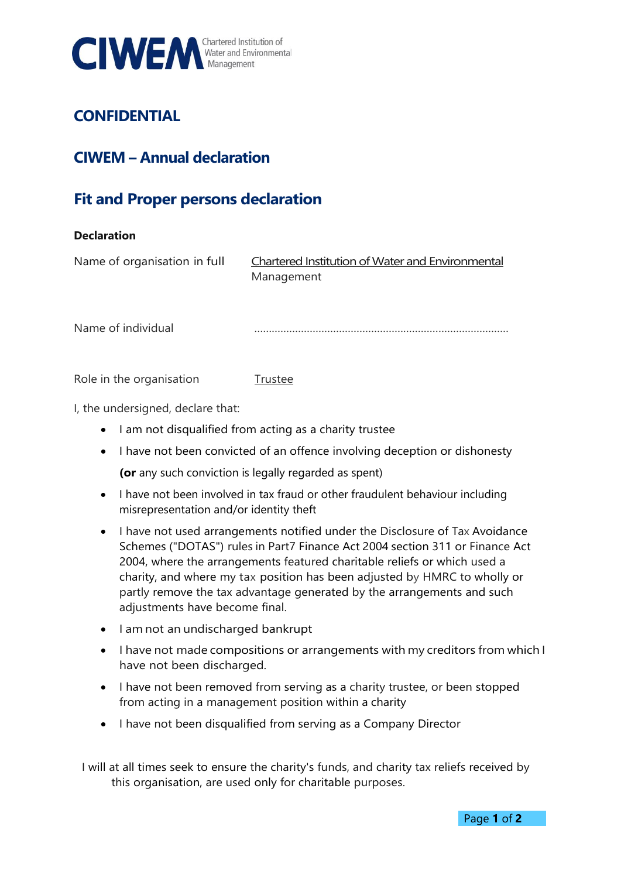

## **CONFIDENTIAL**

## **CIWEM – Annual declaration**

## **Fit and Proper persons declaration**

## **Declaration**

Name of organisation in full Chartered Institution of Water and Environmental Management

Name of individual

Role in the organisation Trustee

I, the undersigned, declare that:

- I am not disqualified from acting as a charity trustee
- I have not been convicted of an offence involving deception or dishonesty

**(or** any such conviction is legally regarded as spent)

- I have not been involved in tax fraud or other fraudulent behaviour including misrepresentation and/or identity theft
- I have not used arrangements notified under the Disclosure of Tax Avoidance Schemes ("DOTAS") rules in Part7 Finance Act 2004 section 311 or Finance Act 2004, where the arrangements featured charitable reliefs or which used a charity, and where my tax position has been adjusted by HMRC to wholly or partly remove the tax advantage generated by the arrangements and such adjustments have become final.
- I am not an undischarged bankrupt
- I have not made compositions or arrangements with my creditors from which I have not been discharged.
- I have not been removed from serving as a charity trustee, or been stopped from acting in a management position within a charity
- I have not been disqualified from serving as a Company Director

I will at all times seek to ensure the charity's funds, and charity tax reliefs received by this organisation, are used only for charitable purposes.